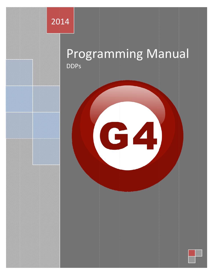

# Programming Manual **DDPs**

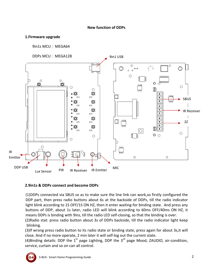#### **New function of DDPs**

#### 1.Firmware upgrade

9in1s MCU: MEGA64





#### 2.9in1s & DDPs connect and become DDPs

(1) DDPs connected via SBUS so as to make sure the line link can work, so firstly configured the DDP part, then press radio buttons about 6s at the backside of DDPs, till the radio indicator light blink according to 1S OFF/1S ON HZ, then it enter waiting-for binding state. And press any buttons of DDP, about 1s later, radio LED will blink according to 60ms OFF/40ms ON HZ, it means DDPs is binding with 9ins, till the radio LED self-closing, so that the binding is over.

(2) Radio stat: press radio button about 3s of DDPs backside, till the radio indicator light keep blinking.

(3) If wrong press radio button to its radio state or binding state, press again for about 3s, it will close. And if no more operate, 2 min later it will self-log out the current state.

(4) Binding details: DDP the  $1<sup>st</sup>$  page Lighting, DDP the  $3<sup>rd</sup>$  page Mood, ZAUDIO, air-condition, service, curtain and so on can all control.

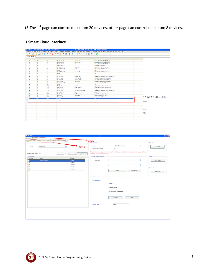(5) The 1<sup>st</sup> page can control maximum 20 devices, other page can control maximum 8 devices.

### **3.Smart Cloud interface**

|                         |                |                |                                                       |                      | Configure (C) Address (A) Fairing(F) Devices (D) Test(T) Language Backup(B) Developers(F9) Users(O) Other(D) H-Zone(E) Help (O) Trail Click DIT DIT FiFi Bulti-Flug |                   |
|-------------------------|----------------|----------------|-------------------------------------------------------|----------------------|---------------------------------------------------------------------------------------------------------------------------------------------------------------------|-------------------|
|                         |                |                | Q   X   D   9 B   2 @   4 @ Q   K #   9   J #   9   E | *18 18 3 3 4 6       |                                                                                                                                                                     |                   |
| ON-line devices         |                |                |                                                       |                      |                                                                                                                                                                     |                   |
| <b>Status</b>           | Subnet ID      | Device D       | Mode                                                  | Remark               | <b>Description</b>                                                                                                                                                  |                   |
| $\overline{\mathbf{v}}$ | ٠              | $\overline{2}$ | SB-082c64-0N                                          | Dimming Pack 1       | Dimmer 201 64/0H.DN-Rail Mount                                                                                                                                      |                   |
| v                       | ٠              |                | <b>SB-DR4c3A-DN</b>                                   | Dimming Pack 2       | Dimmer 4Cl 3A/CH.DIN-Rail Mount                                                                                                                                     |                   |
| v                       | ٠              | ×              | SB-DR6c2A-DN                                          | Dimming Pack 3       | Dimmer 6Cl 2A/CH.DIN-Rail Mount                                                                                                                                     |                   |
| ×                       | ٠              |                | SB-Loric2-DN                                          |                      | AotomationLogic Module 2                                                                                                                                            |                   |
|                         | ٠              | ×              | SB-RIY6c16A-DN                                        | Relay Module 1       | Relay 6ch 6A/CH, DN-Rail Mount                                                                                                                                      |                   |
|                         | ٠              | 8              | SB-RLY4c20A-DN                                        | Motor                | Relay 4CH (GA/CH,DRI-Rail Mount)                                                                                                                                    |                   |
| v                       | ٠              | 11             | \$8,403                                               |                      | 4.0                                                                                                                                                                 |                   |
| ×                       | ٠              | 12             | SB-RLY8e16A-DN                                        | test relay FM        | Relay SCH (6A/CH,DN-Rail Mount)                                                                                                                                     |                   |
| v                       | ٠              | 16             | \$8,389                                               |                      | 38                                                                                                                                                                  |                   |
|                         | ٠              | 21             | SB-DDP                                                | Smart Glen DDP       | DDP                                                                                                                                                                 |                   |
|                         | ٠              | 28             | \$8-2MX23-DN                                          | Dimming Pack 4       | Zone-Beast 23 port Mix Control Module (Q4)                                                                                                                          |                   |
|                         | ٠              | 39             | <b>SB-HVAC2-DN</b>                                    | <b>HVAC SLAVE 4</b>  | <b>HVAC2 AirCondition Control Module</b>                                                                                                                            |                   |
| v                       | ٠              | 42             | SB-HVAC2-DN                                           | <b>HVAC MASTER</b>   | HVAC2 AirCondition Control Module                                                                                                                                   |                   |
|                         | ٠              | 47             | SB-HVAC2-DN                                           | SBUS-HVAC            | HVAC2 AirConstion Control Module                                                                                                                                    |                   |
|                         | ٠              | 60             | SB-RLY12c10A-DN                                       |                      | Relay 12Cl 10A/CH.DN-Rail Mount                                                                                                                                     |                   |
|                         |                | 90             | 58-389                                                |                      | 38                                                                                                                                                                  |                   |
|                         | $\overline{1}$ | 100            | SB-RSP-DN                                             | Daniel               | Hybird Interation Link with P                                                                                                                                       |                   |
|                         |                | 120            | 58-HVAC2-DN                                           | HVAC SLAVE 2         | HVAC2.AirCondition Control Module                                                                                                                                   |                   |
|                         |                | 123            | \$8-Riacro-UN                                         |                      | <b>R</b> Macro                                                                                                                                                      |                   |
|                         |                | 170            | 58-21023-0N                                           | SI/T-HOTEL-MIX-MODEL | Zone-Beast 23 port Mix Control Module (O4)                                                                                                                          |                   |
| س                       |                | 201            | SB-24xtic2-DN                                         | Zeft.                | Zone-Audi 2                                                                                                                                                         |                   |
| v                       |                | 228            | 58-850-DN                                             | Sig Test Board       | Hybird Interation Link with P                                                                                                                                       |                   |
| ر                       | ٠              | 227            | SB-RSP-DN                                             | Glan Desidop         | Hybird Weinstich Link with P                                                                                                                                        |                   |
|                         |                | 555            | <b>68 Leyed DIA</b>                                   | <b>Abrigan</b>       | Aslamatic Logic Module 3                                                                                                                                            | 1.1-56.57.SB-DDPS |
| v                       | 113            | 44.57          | 180-009                                               |                      | 450                                                                                                                                                                 |                   |
|                         |                |                |                                                       |                      |                                                                                                                                                                     | Remark:           |
|                         |                |                |                                                       |                      |                                                                                                                                                                     |                   |
|                         |                |                |                                                       |                      |                                                                                                                                                                     |                   |
|                         |                |                |                                                       |                      |                                                                                                                                                                     |                   |
|                         |                |                |                                                       |                      |                                                                                                                                                                     |                   |
|                         |                |                |                                                       |                      |                                                                                                                                                                     | DESC:             |
|                         |                |                |                                                       |                      |                                                                                                                                                                     |                   |
|                         |                |                |                                                       |                      |                                                                                                                                                                     |                   |
|                         |                |                |                                                       |                      |                                                                                                                                                                     | 450               |
|                         |                |                |                                                       |                      |                                                                                                                                                                     |                   |
|                         |                |                |                                                       |                      |                                                                                                                                                                     |                   |
|                         |                |                |                                                       |                      |                                                                                                                                                                     |                   |

| -Select device-              |                 | General R Emiter IR Receiver Logic   Security   Temperature Sensor Back LLD |                   | <b>DDPS</b>                                    |                                                                                                                                       |              | -Delete All-         |
|------------------------------|-----------------|-----------------------------------------------------------------------------|-------------------|------------------------------------------------|---------------------------------------------------------------------------------------------------------------------------------------|--------------|----------------------|
|                              |                 |                                                                             |                   | Whis:<br>×                                     | Total GTV for enabled PL                                                                                                              | х.           |                      |
| Device                       | 186-58-0095     | $\check{\phantom{a}}$                                                       | 9 <sub>in1s</sub> | Total QTV for disabled PL                      | $\epsilon$                                                                                                                            |              | Defete At III        |
| Passe rout R No. from (1-24) |                 | $\frac{1}{2}$<br>T <sub>B</sub>                                             | $\sqrt{R}$        | not be used in two furctions at the same time. | There are total 243 unversal swith No, each universal switch C idan to used in both R Emitter and Logic But a universal switch No dan |              |                      |
| - It information-            |                 |                                                                             |                   | Denvisad code to current R No-                 |                                                                                                                                       |              | Renan-               |
| Riviter                      | Remark          |                                                                             | Status            |                                                |                                                                                                                                       |              |                      |
|                              | AUX AC_cool 28c |                                                                             | Enabled           | Select device:                                 |                                                                                                                                       | $\downarrow$ | <b>Hoofy Renark.</b> |
|                              |                 |                                                                             | Deabled           |                                                |                                                                                                                                       |              |                      |
|                              |                 |                                                                             | Classies          | Select coor.                                   |                                                                                                                                       | ×            |                      |
|                              |                 |                                                                             | Disabled          |                                                |                                                                                                                                       |              | Current IR-          |
|                              |                 |                                                                             | <b>Cisaties</b>   |                                                | Learn R.<br>Download New                                                                                                              |              |                      |
|                              |                 |                                                                             |                   |                                                |                                                                                                                                       |              | Delete current R     |
|                              |                 |                                                                             |                   |                                                |                                                                                                                                       |              |                      |
|                              |                 |                                                                             |                   | Test R Code you have downloaded                |                                                                                                                                       |              |                      |
|                              |                 |                                                                             |                   | <b>Way of Pressing</b>                         |                                                                                                                                       |              |                      |
|                              |                 |                                                                             |                   |                                                | @ Once                                                                                                                                |              |                      |
|                              |                 |                                                                             |                   |                                                |                                                                                                                                       |              |                      |
|                              |                 |                                                                             |                   |                                                | O Hold on button                                                                                                                      |              |                      |
|                              |                 |                                                                             |                   |                                                |                                                                                                                                       |              |                      |
|                              |                 |                                                                             |                   |                                                | C Continuously hold on button                                                                                                         |              |                      |
|                              |                 |                                                                             |                   |                                                |                                                                                                                                       |              |                      |
|                              |                 |                                                                             |                   |                                                | Send R Now<br>Stop                                                                                                                    |              |                      |
|                              |                 |                                                                             |                   |                                                |                                                                                                                                       |              |                      |
|                              |                 |                                                                             |                   | <b>Current status</b>                          | Standby                                                                                                                               |              |                      |
|                              |                 |                                                                             |                   |                                                |                                                                                                                                       |              |                      |

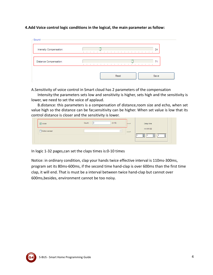#### 4.Add Voice control logic conditions in the logical, the main parameter as follow:

| Intensity Compensation: | 24<br>$\mathbf{I}$<br>п.                                                                                              |
|-------------------------|-----------------------------------------------------------------------------------------------------------------------|
| Distance Compensation:  | 71<br><b>Contract Contract Contract</b><br>.<br>$\sim$<br><b>College</b><br>$\sim$<br><b>Contract</b><br>$\mathbf{r}$ |

A. Sensitivity of voice control in Smart cloud has 2 parameters of the compensation

Intensity: the parameters sets low and sensitivity is higher, sets high and the sensitivity is lower, we need to set the voice of applaud.

B.distance: this parameters is a compensation of distance, room size and echo, when set value high so the distance can be far, sensitivity can be higher. When set value is low that its control distance is closer and the sensitivity is lower.

| Voice         | Count: | $(0-10)$ | $+$           |  | Delay time |   |   |
|---------------|--------|----------|---------------|--|------------|---|---|
| Motion sensor |        |          | $\rightarrow$ |  | HH:MM:SS   |   |   |
|               |        |          |               |  | Н          | Н | Ь |

In logic 1-32 pages, can set the claps times is: 0-10 times

Notice: in ordinary condition, clap your hands twice effective interval is 110ms-300ms, program set its 80ms-600ms, if the second time hand-clap is over 600ms than the first time clap, it will end. That is must be a interval between twice hand-clap but cannot over 600ms, besides, environment cannot be too noisy.